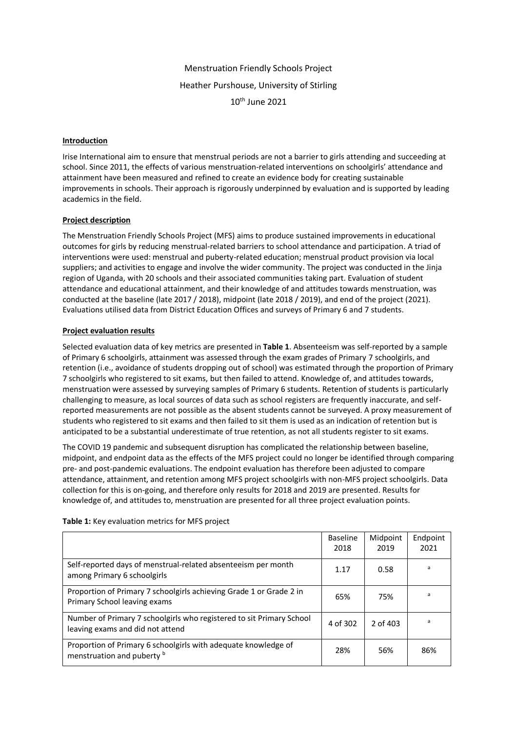Menstruation Friendly Schools Project Heather Purshouse, University of Stirling 10th June 2021

### **Introduction**

Irise International aim to ensure that menstrual periods are not a barrier to girls attending and succeeding at school. Since 2011, the effects of various menstruation-related interventions on schoolgirls' attendance and attainment have been measured and refined to create an evidence body for creating sustainable improvements in schools. Their approach is rigorously underpinned by evaluation and is supported by leading academics in the field.

# **Project description**

The Menstruation Friendly Schools Project (MFS) aims to produce sustained improvements in educational outcomes for girls by reducing menstrual-related barriers to school attendance and participation. A triad of interventions were used: menstrual and puberty-related education; menstrual product provision via local suppliers; and activities to engage and involve the wider community. The project was conducted in the Jinja region of Uganda, with 20 schools and their associated communities taking part. Evaluation of student attendance and educational attainment, and their knowledge of and attitudes towards menstruation, was conducted at the baseline (late 2017 / 2018), midpoint (late 2018 / 2019), and end of the project (2021). Evaluations utilised data from District Education Offices and surveys of Primary 6 and 7 students.

# **Project evaluation results**

Selected evaluation data of key metrics are presented in **Table 1**. Absenteeism was self-reported by a sample of Primary 6 schoolgirls, attainment was assessed through the exam grades of Primary 7 schoolgirls, and retention (i.e., avoidance of students dropping out of school) was estimated through the proportion of Primary 7 schoolgirls who registered to sit exams, but then failed to attend. Knowledge of, and attitudes towards, menstruation were assessed by surveying samples of Primary 6 students. Retention of students is particularly challenging to measure, as local sources of data such as school registers are frequently inaccurate, and selfreported measurements are not possible as the absent students cannot be surveyed. A proxy measurement of students who registered to sit exams and then failed to sit them is used as an indication of retention but is anticipated to be a substantial underestimate of true retention, as not all students register to sit exams.

The COVID 19 pandemic and subsequent disruption has complicated the relationship between baseline, midpoint, and endpoint data as the effects of the MFS project could no longer be identified through comparing pre- and post-pandemic evaluations. The endpoint evaluation has therefore been adjusted to compare attendance, attainment, and retention among MFS project schoolgirls with non-MFS project schoolgirls. Data collection for this is on-going, and therefore only results for 2018 and 2019 are presented. Results for knowledge of, and attitudes to, menstruation are presented for all three project evaluation points.

|                                                                                                          | <b>Baseline</b><br>2018 | Midpoint<br>2019 | Endpoint<br>2021 |
|----------------------------------------------------------------------------------------------------------|-------------------------|------------------|------------------|
| Self-reported days of menstrual-related absenteeism per month<br>among Primary 6 schoolgirls             | 1.17                    | 0.58             | a                |
| Proportion of Primary 7 schoolgirls achieving Grade 1 or Grade 2 in<br>Primary School leaving exams      | 65%                     | 75%              | a                |
| Number of Primary 7 schoolgirls who registered to sit Primary School<br>leaving exams and did not attend | 4 of 302                | 2 of 403         | a                |
| Proportion of Primary 6 schoolgirls with adequate knowledge of<br>menstruation and puberty b             | 28%                     | 56%              | 86%              |

**Table 1:** Key evaluation metrics for MFS project